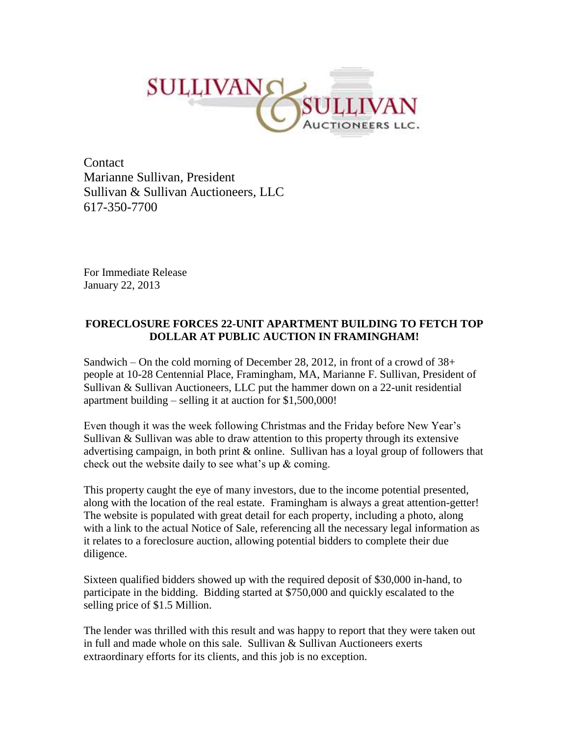

Contact Marianne Sullivan, President Sullivan & Sullivan Auctioneers, LLC 617-350-7700

For Immediate Release January 22, 2013

## **FORECLOSURE FORCES 22-UNIT APARTMENT BUILDING TO FETCH TOP DOLLAR AT PUBLIC AUCTION IN FRAMINGHAM!**

Sandwich – On the cold morning of December 28, 2012, in front of a crowd of  $38<sup>+</sup>$ people at 10-28 Centennial Place, Framingham, MA, Marianne F. Sullivan, President of Sullivan & Sullivan Auctioneers, LLC put the hammer down on a 22-unit residential apartment building – selling it at auction for \$1,500,000!

Even though it was the week following Christmas and the Friday before New Year's Sullivan & Sullivan was able to draw attention to this property through its extensive advertising campaign, in both print & online. Sullivan has a loyal group of followers that check out the website daily to see what's up & coming.

This property caught the eye of many investors, due to the income potential presented, along with the location of the real estate. Framingham is always a great attention-getter! The website is populated with great detail for each property, including a photo, along with a link to the actual Notice of Sale, referencing all the necessary legal information as it relates to a foreclosure auction, allowing potential bidders to complete their due diligence.

Sixteen qualified bidders showed up with the required deposit of \$30,000 in-hand, to participate in the bidding. Bidding started at \$750,000 and quickly escalated to the selling price of \$1.5 Million.

The lender was thrilled with this result and was happy to report that they were taken out in full and made whole on this sale. Sullivan & Sullivan Auctioneers exerts extraordinary efforts for its clients, and this job is no exception.